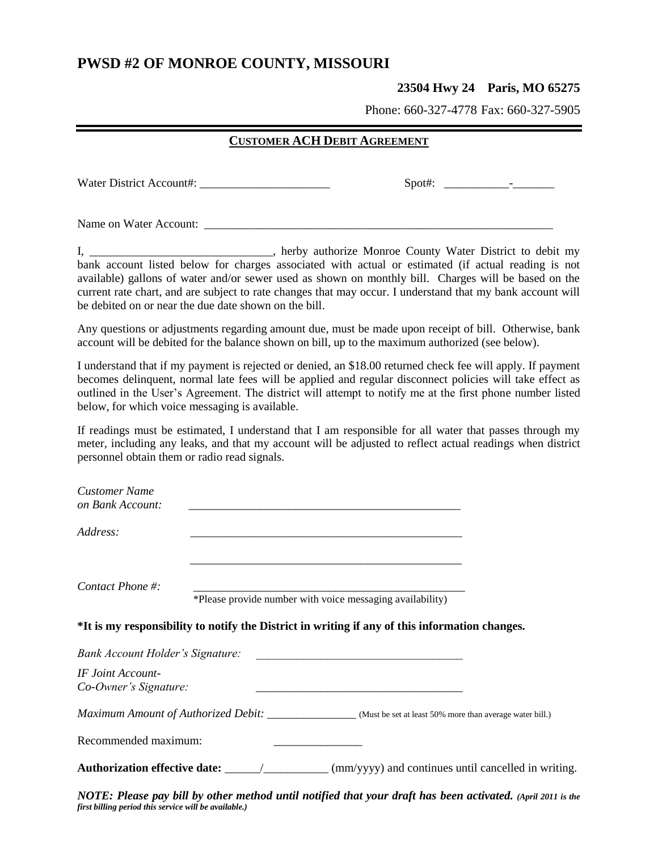## **PWSD #2 OF MONROE COUNTY, MISSOURI**

## **23504 Hwy 24 Paris, MO 65275**

Phone: 660-327-4778 Fax: 660-327-5905

## **CUSTOMER ACH DEBIT AGREEMENT**

Water District Account#: \_\_\_\_\_\_\_\_\_\_\_\_\_\_\_\_\_\_\_\_\_\_ Spot#: \_\_\_\_\_\_\_\_\_\_\_-\_\_\_\_\_\_\_

Name on Water Account:

I, \_\_\_\_\_\_\_\_\_\_\_\_\_\_\_\_\_\_\_\_\_\_\_\_\_\_\_\_\_\_\_, herby authorize Monroe County Water District to debit my bank account listed below for charges associated with actual or estimated (if actual reading is not available) gallons of water and/or sewer used as shown on monthly bill. Charges will be based on the current rate chart, and are subject to rate changes that may occur. I understand that my bank account will be debited on or near the due date shown on the bill.

Any questions or adjustments regarding amount due, must be made upon receipt of bill. Otherwise, bank account will be debited for the balance shown on bill, up to the maximum authorized (see below).

I understand that if my payment is rejected or denied, an \$18.00 returned check fee will apply. If payment becomes delinquent, normal late fees will be applied and regular disconnect policies will take effect as outlined in the User's Agreement. The district will attempt to notify me at the first phone number listed below, for which voice messaging is available.

If readings must be estimated, I understand that I am responsible for all water that passes through my meter, including any leaks, and that my account will be adjusted to reflect actual readings when district personnel obtain them or radio read signals.

| <b>Customer Name</b><br>on Bank Account:          | <u> 1980 - John Stone, Amerikaansk politiker († 1901)</u>                                                                                                   |  |
|---------------------------------------------------|-------------------------------------------------------------------------------------------------------------------------------------------------------------|--|
| Address:                                          |                                                                                                                                                             |  |
| Contact Phone $\#$ :                              |                                                                                                                                                             |  |
|                                                   | *Please provide number with voice messaging availability)<br>*It is my responsibility to notify the District in writing if any of this information changes. |  |
| <b>Bank Account Holder's Signature:</b>           | <u> 1989 - Johann Barbara, martin amerikan basal dan berasal dalam basal dalam basal dalam basal dalam basal dala</u>                                       |  |
| <b>IF Joint Account-</b><br>Co-Owner's Signature: |                                                                                                                                                             |  |
|                                                   | <i>Maximum Amount of Authorized Debit:</i> _________________(Must be set at least 50% more than average water bill.)                                        |  |
| Recommended maximum:                              |                                                                                                                                                             |  |
|                                                   |                                                                                                                                                             |  |

*NOTE: Please pay bill by other method until notified that your draft has been activated. (April 2011 is the first billing period this service will be available.)*